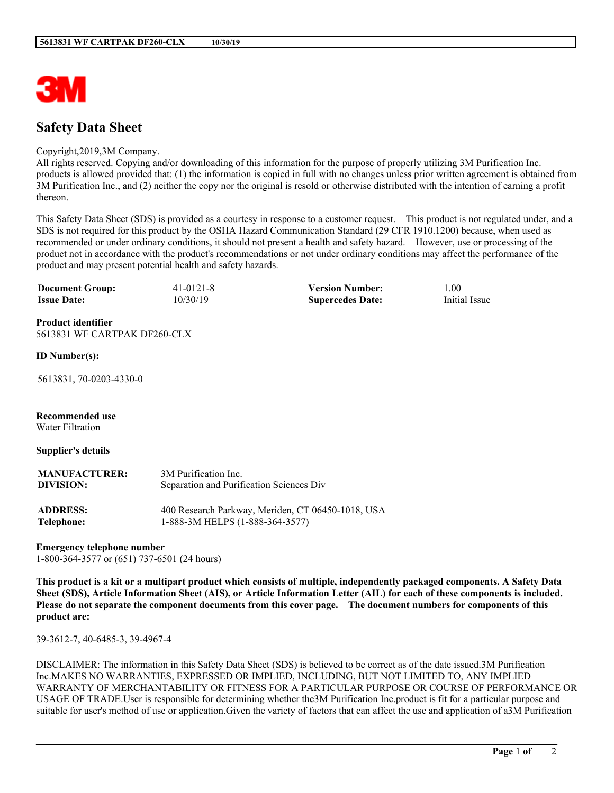

# **Safety Data Sheet**

#### Copyright,2019,3M Company.

All rights reserved. Copying and/or downloading of this information for the purpose of properly utilizing 3M Purification Inc. products is allowed provided that: (1) the information is copied in full with no changes unless prior written agreement is obtained from 3M Purification Inc., and (2) neither the copy nor the original is resold or otherwise distributed with the intention of earning a profit thereon.

This Safety Data Sheet (SDS) is provided as a courtesy in response to a customer request. This product is not regulated under, and a SDS is not required for this product by the OSHA Hazard Communication Standard (29 CFR 1910.1200) because, when used as recommended or under ordinary conditions, it should not present a health and safety hazard. However, use or processing of the product not in accordance with the product's recommendations or not under ordinary conditions may affect the performance of the product and may present potential health and safety hazards.

| <b>Document Group:</b> | $41 - 0121 - 8$ | <b>Version Number:</b>  | 00.1          |
|------------------------|-----------------|-------------------------|---------------|
| <b>Issue Date:</b>     | 10/30/19        | <b>Supercedes Date:</b> | Initial Issue |

**Product identifier** 5613831 WF CARTPAK DF260-CLX

#### **ID Number(s):**

5613831, 70-0203-4330-0

**Recommended use**

Water Filtration

#### **Supplier's details**

| <b>MANUFACTURER:</b> | 3M Purification Inc.                              |  |
|----------------------|---------------------------------------------------|--|
| DIVISION:            | Separation and Purification Sciences Div          |  |
| <b>ADDRESS:</b>      | 400 Research Parkway, Meriden, CT 06450-1018, USA |  |
| Telephone:           | 1-888-3M HELPS (1-888-364-3577)                   |  |

#### **Emergency telephone number**

1-800-364-3577 or (651) 737-6501 (24 hours)

This product is a kit or a multipart product which consists of multiple, independently packaged components. A Safety Data Sheet (SDS), Article Information Sheet (AIS), or Article Information Letter (AIL) for each of these components is included. Please do not separate the component documents from this cover page. The document numbers for components of this **product are:**

39-3612-7, 40-6485-3, 39-4967-4

DISCLAIMER: The information in this Safety Data Sheet (SDS) is believed to be correct as of the date issued.3M Purification Inc.MAKES NO WARRANTIES, EXPRESSED OR IMPLIED, INCLUDING, BUT NOT LIMITED TO, ANY IMPLIED WARRANTY OF MERCHANTABILITY OR FITNESS FOR A PARTICULAR PURPOSE OR COURSE OF PERFORMANCE OR USAGE OF TRADE.User is responsible for determining whether the3M Purification Inc.product is fit for a particular purpose and suitable for user's method of use or application.Given the variety of factors that can affect the use and application of a3M Purification

**\_\_\_\_\_\_\_\_\_\_\_\_\_\_\_\_\_\_\_\_\_\_\_\_\_\_\_\_\_\_\_\_\_\_\_\_\_\_\_\_\_\_\_\_\_\_\_\_\_\_\_\_\_\_\_\_\_\_\_\_\_\_\_\_\_\_\_\_\_\_\_\_\_\_\_\_\_\_\_\_\_\_\_\_\_\_\_\_\_\_\_\_\_\_\_\_\_\_\_\_\_\_\_\_**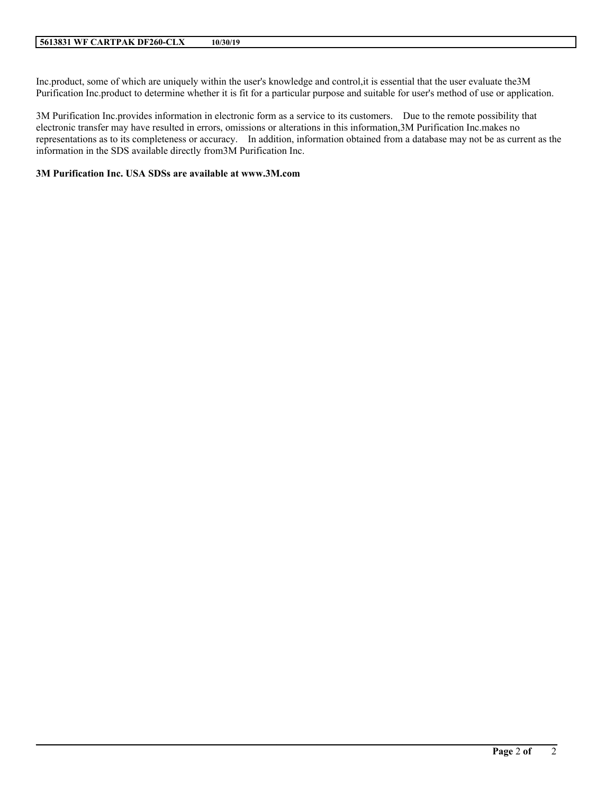Inc.product, some of which are uniquely within the user's knowledge and control,it is essential that the user evaluate the3M Purification Inc.product to determine whether it is fit for a particular purpose and suitable for user's method of use or application.

3M Purification Inc.provides information in electronic form as a service to its customers. Due to the remote possibility that electronic transfer may have resulted in errors, omissions or alterations in this information,3M Purification Inc.makes no representations as to its completeness or accuracy. In addition, information obtained from a database may not be as current as the information in the SDS available directly from3M Purification Inc.

**\_\_\_\_\_\_\_\_\_\_\_\_\_\_\_\_\_\_\_\_\_\_\_\_\_\_\_\_\_\_\_\_\_\_\_\_\_\_\_\_\_\_\_\_\_\_\_\_\_\_\_\_\_\_\_\_\_\_\_\_\_\_\_\_\_\_\_\_\_\_\_\_\_\_\_\_\_\_\_\_\_\_\_\_\_\_\_\_\_\_\_\_\_\_\_\_\_\_\_\_\_\_\_\_**

#### **3M Purification Inc. USA SDSs are available at www.3M.com**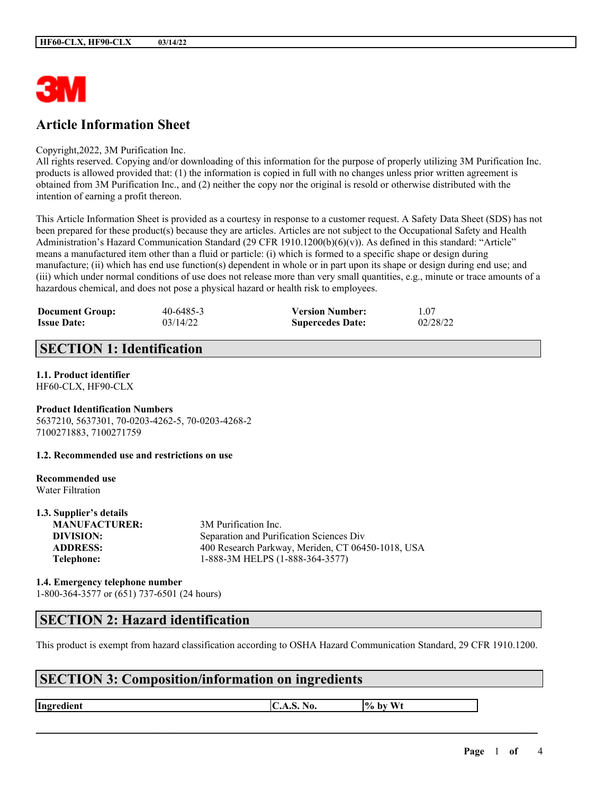

# **Article Information Sheet**

Copyright,2022, 3M Purification Inc.

All rights reserved. Copying and/or downloading of this information for the purpose of properly utilizing 3M Purification Inc. products is allowed provided that: (1) the information is copied in full with no changes unless prior written agreement is obtained from 3M Purification Inc., and (2) neither the copy nor the original is resold or otherwise distributed with the intention of earning a profit thereon.

This Article Information Sheet is provided as a courtesy in response to a customer request. A Safety Data Sheet (SDS) has not been prepared for these product(s) because they are articles. Articles are not subject to the Occupational Safety and Health Administration's Hazard Communication Standard (29 CFR 1910.1200(b)(6)(v)). As defined in this standard: "Article" means a manufactured item other than a fluid or particle: (i) which is formed to a specific shape or design during manufacture; (ii) which has end use function(s) dependent in whole or in part upon its shape or design during end use; and (iii) which under normal conditions of use does not release more than very small quantities, e.g., minute or trace amounts of a hazardous chemical, and does not pose a physical hazard or health risk to employees.

| <b>Document Group:</b> | 40-6485-3 | <b>Version Number:</b>  | 1.07     |
|------------------------|-----------|-------------------------|----------|
| <b>Issue Date:</b>     | 03/14/22  | <b>Supercedes Date:</b> | 02/28/22 |

# **SECTION 1: Identification**

# **1.1. Product identifier**

HF60-CLX, HF90-CLX

#### **Product Identification Numbers** 5637210, 5637301, 70-0203-4262-5, 70-0203-4268-2 7100271883, 7100271759

**1.2. Recommended use and restrictions on use**

#### **Recommended use** Water Filtration

**1.3. Supplier's details**

| 1.3. Supplier S actails |                                                   |
|-------------------------|---------------------------------------------------|
| <b>MANUFACTURER:</b>    | 3M Purification Inc.                              |
| DIVISION:               | Separation and Purification Sciences Div          |
| <b>ADDRESS:</b>         | 400 Research Parkway, Meriden, CT 06450-1018, USA |
| Telephone:              | 1-888-3M HELPS (1-888-364-3577)                   |
|                         |                                                   |

#### **1.4. Emergency telephone number** 1-800-364-3577 or (651) 737-6501 (24 hours)

### **SECTION 2: Hazard identification**

This product is exempt from hazard classification according to OSHA Hazard Communication Standard, 29 CFR 1910.1200.

 $\mathcal{L}_\mathcal{L} = \mathcal{L}_\mathcal{L} = \mathcal{L}_\mathcal{L} = \mathcal{L}_\mathcal{L} = \mathcal{L}_\mathcal{L} = \mathcal{L}_\mathcal{L} = \mathcal{L}_\mathcal{L} = \mathcal{L}_\mathcal{L} = \mathcal{L}_\mathcal{L} = \mathcal{L}_\mathcal{L} = \mathcal{L}_\mathcal{L} = \mathcal{L}_\mathcal{L} = \mathcal{L}_\mathcal{L} = \mathcal{L}_\mathcal{L} = \mathcal{L}_\mathcal{L} = \mathcal{L}_\mathcal{L} = \mathcal{L}_\mathcal{L}$ 

# **SECTION 3: Composition/information on ingredients**

**Ingredient C.A.S.** No.  $\begin{bmatrix} \phi & \phi \end{bmatrix}$  by Wt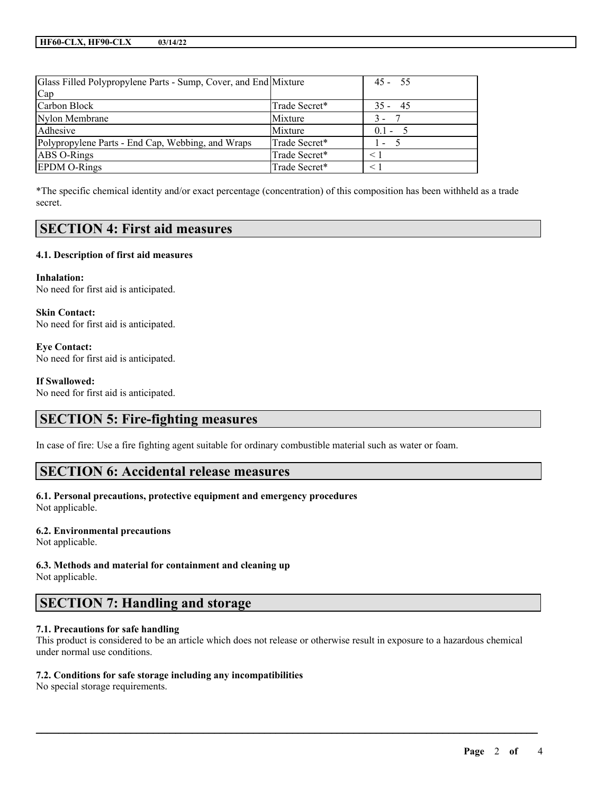| Glass Filled Polypropylene Parts - Sump, Cover, and End Mixture |               | $45 - 55$      |
|-----------------------------------------------------------------|---------------|----------------|
| Cap                                                             |               |                |
| Carbon Block                                                    | Trade Secret* | $35 - 45$      |
| Nylon Membrane                                                  | Mixture       | $3 -$          |
| Adhesive                                                        | Mixture       | $0.1 - 5$      |
| Polypropylene Parts - End Cap, Webbing, and Wraps               | Trade Secret* | $\overline{a}$ |
| ABS O-Rings                                                     | Trade Secret* | < 1            |
| <b>EPDM O-Rings</b>                                             | Trade Secret* |                |

\*The specific chemical identity and/or exact percentage (concentration) of this composition has been withheld as a trade secret.

### **SECTION 4: First aid measures**

#### **4.1. Description of first aid measures**

**Inhalation:** No need for first aid is anticipated.

**Skin Contact:** No need for first aid is anticipated.

**Eye Contact:** No need for first aid is anticipated.

#### **If Swallowed:**

No need for first aid is anticipated.

### **SECTION 5: Fire-fighting measures**

In case of fire: Use a fire fighting agent suitable for ordinary combustible material such as water or foam.

### **SECTION 6: Accidental release measures**

**6.1. Personal precautions, protective equipment and emergency procedures** Not applicable.

#### **6.2. Environmental precautions**

Not applicable.

**6.3. Methods and material for containment and cleaning up**

Not applicable.

### **SECTION 7: Handling and storage**

#### **7.1. Precautions for safe handling**

This product is considered to be an article which does not release or otherwise result in exposure to a hazardous chemical under normal use conditions.

 $\mathcal{L}_\mathcal{L} = \mathcal{L}_\mathcal{L} = \mathcal{L}_\mathcal{L} = \mathcal{L}_\mathcal{L} = \mathcal{L}_\mathcal{L} = \mathcal{L}_\mathcal{L} = \mathcal{L}_\mathcal{L} = \mathcal{L}_\mathcal{L} = \mathcal{L}_\mathcal{L} = \mathcal{L}_\mathcal{L} = \mathcal{L}_\mathcal{L} = \mathcal{L}_\mathcal{L} = \mathcal{L}_\mathcal{L} = \mathcal{L}_\mathcal{L} = \mathcal{L}_\mathcal{L} = \mathcal{L}_\mathcal{L} = \mathcal{L}_\mathcal{L}$ 

#### **7.2. Conditions for safe storage including any incompatibilities**

No special storage requirements.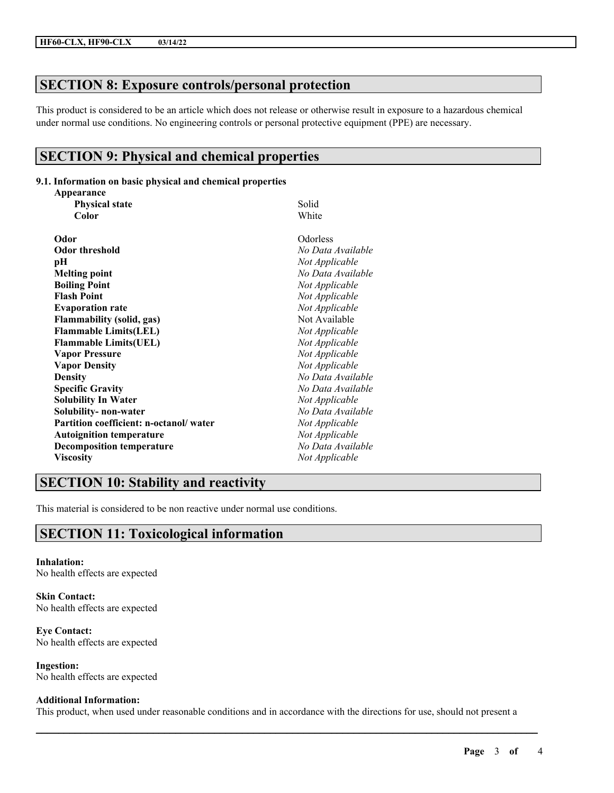# **SECTION 8: Exposure controls/personal protection**

This product is considered to be an article which does not release or otherwise result in exposure to a hazardous chemical under normal use conditions. No engineering controls or personal protective equipment (PPE) are necessary.

### **SECTION 9: Physical and chemical properties**

#### **9.1. Information on basic physical and chemical properties**

| Appearance                             |                   |
|----------------------------------------|-------------------|
| <b>Physical state</b>                  | Solid             |
| Color                                  | White             |
| Odor                                   | Odorless          |
| <b>Odor threshold</b>                  | No Data Available |
| pН                                     | Not Applicable    |
| <b>Melting point</b>                   | No Data Available |
| <b>Boiling Point</b>                   | Not Applicable    |
| <b>Flash Point</b>                     | Not Applicable    |
| <b>Evaporation rate</b>                | Not Applicable    |
| <b>Flammability (solid, gas)</b>       | Not Available     |
| <b>Flammable Limits(LEL)</b>           | Not Applicable    |
| <b>Flammable Limits(UEL)</b>           | Not Applicable    |
| <b>Vapor Pressure</b>                  | Not Applicable    |
| <b>Vapor Density</b>                   | Not Applicable    |
| <b>Density</b>                         | No Data Available |
| <b>Specific Gravity</b>                | No Data Available |
| <b>Solubility In Water</b>             | Not Applicable    |
| Solubility- non-water                  | No Data Available |
| Partition coefficient: n-octanol/water | Not Applicable    |
| <b>Autoignition temperature</b>        | Not Applicable    |
| <b>Decomposition temperature</b>       | No Data Available |
| <b>Viscosity</b>                       | Not Applicable    |

### **SECTION 10: Stability and reactivity**

This material is considered to be non reactive under normal use conditions.

# **SECTION 11: Toxicological information**

**Inhalation:** No health effects are expected

**Skin Contact:** No health effects are expected

**Eye Contact:** No health effects are expected

**Ingestion:** No health effects are expected

#### **Additional Information:**

This product, when used under reasonable conditions and in accordance with the directions for use, should not present a

 $\mathcal{L}_\mathcal{L} = \mathcal{L}_\mathcal{L} = \mathcal{L}_\mathcal{L} = \mathcal{L}_\mathcal{L} = \mathcal{L}_\mathcal{L} = \mathcal{L}_\mathcal{L} = \mathcal{L}_\mathcal{L} = \mathcal{L}_\mathcal{L} = \mathcal{L}_\mathcal{L} = \mathcal{L}_\mathcal{L} = \mathcal{L}_\mathcal{L} = \mathcal{L}_\mathcal{L} = \mathcal{L}_\mathcal{L} = \mathcal{L}_\mathcal{L} = \mathcal{L}_\mathcal{L} = \mathcal{L}_\mathcal{L} = \mathcal{L}_\mathcal{L}$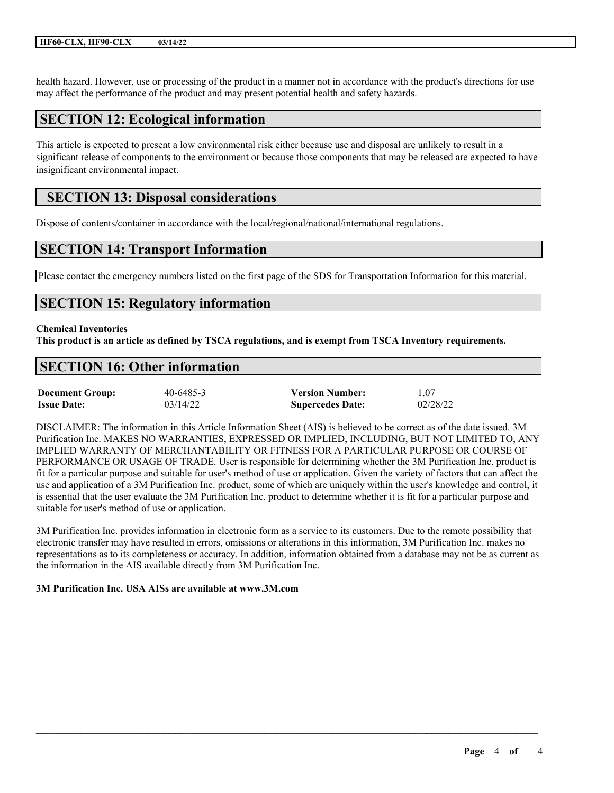health hazard. However, use or processing of the product in a manner not in accordance with the product's directions for use may affect the performance of the product and may present potential health and safety hazards.

### **SECTION 12: Ecological information**

This article is expected to present a low environmental risk either because use and disposal are unlikely to result in a significant release of components to the environment or because those components that may be released are expected to have insignificant environmental impact.

### **SECTION 13: Disposal considerations**

Dispose of contents/container in accordance with the local/regional/national/international regulations.

### **SECTION 14: Transport Information**

Please contact the emergency numbers listed on the first page of the SDS for Transportation Information for this material.

### **SECTION 15: Regulatory information**

#### **Chemical Inventories**

This product is an article as defined by TSCA regulations, and is exempt from TSCA Inventory requirements.

### **SECTION 16: Other information**

| <b>Document Group:</b> | 40-6485-3 | <b>Version Number:</b>  | 1.07     |
|------------------------|-----------|-------------------------|----------|
| <b>Issue Date:</b>     | 03/14/22  | <b>Supercedes Date:</b> | 02/28/22 |

DISCLAIMER: The information in this Article Information Sheet (AIS) is believed to be correct as of the date issued. 3M Purification Inc. MAKES NO WARRANTIES, EXPRESSED OR IMPLIED, INCLUDING, BUT NOT LIMITED TO, ANY IMPLIED WARRANTY OF MERCHANTABILITY OR FITNESS FOR A PARTICULAR PURPOSE OR COURSE OF PERFORMANCE OR USAGE OF TRADE. User is responsible for determining whether the 3M Purification Inc. product is fit for a particular purpose and suitable for user's method of use or application. Given the variety of factors that can affect the use and application of a 3M Purification Inc. product, some of which are uniquely within the user's knowledge and control, it is essential that the user evaluate the 3M Purification Inc. product to determine whether it is fit for a particular purpose and suitable for user's method of use or application.

3M Purification Inc. provides information in electronic form as a service to its customers. Due to the remote possibility that electronic transfer may have resulted in errors, omissions or alterations in this information, 3M Purification Inc. makes no representations as to its completeness or accuracy. In addition, information obtained from a database may not be as current as the information in the AIS available directly from 3M Purification Inc.

 $\mathcal{L}_\mathcal{L} = \mathcal{L}_\mathcal{L} = \mathcal{L}_\mathcal{L} = \mathcal{L}_\mathcal{L} = \mathcal{L}_\mathcal{L} = \mathcal{L}_\mathcal{L} = \mathcal{L}_\mathcal{L} = \mathcal{L}_\mathcal{L} = \mathcal{L}_\mathcal{L} = \mathcal{L}_\mathcal{L} = \mathcal{L}_\mathcal{L} = \mathcal{L}_\mathcal{L} = \mathcal{L}_\mathcal{L} = \mathcal{L}_\mathcal{L} = \mathcal{L}_\mathcal{L} = \mathcal{L}_\mathcal{L} = \mathcal{L}_\mathcal{L}$ 

#### **3M Purification Inc. USA AISs are available at www.3M.com**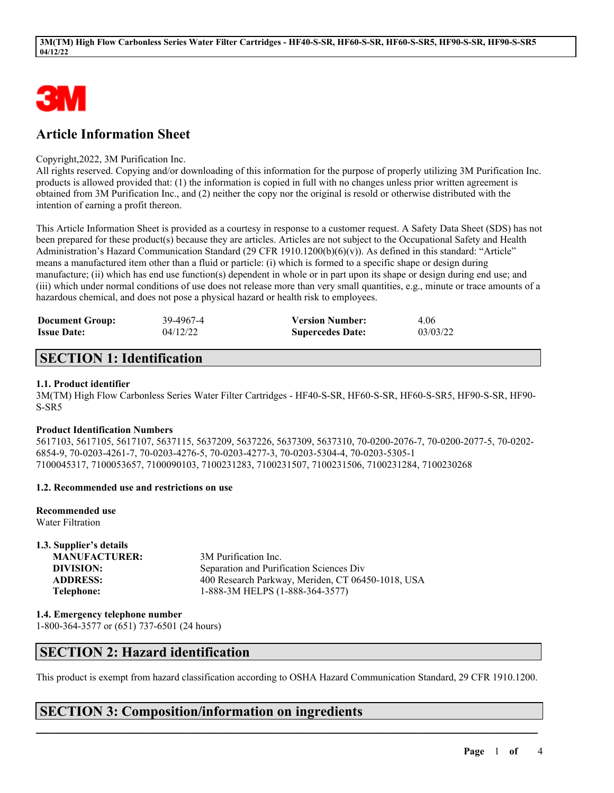

# **Article Information Sheet**

#### Copyright,2022, 3M Purification Inc.

All rights reserved. Copying and/or downloading of this information for the purpose of properly utilizing 3M Purification Inc. products is allowed provided that: (1) the information is copied in full with no changes unless prior written agreement is obtained from 3M Purification Inc., and (2) neither the copy nor the original is resold or otherwise distributed with the intention of earning a profit thereon.

This Article Information Sheet is provided as a courtesy in response to a customer request. A Safety Data Sheet (SDS) has not been prepared for these product(s) because they are articles. Articles are not subject to the Occupational Safety and Health Administration's Hazard Communication Standard (29 CFR 1910.1200(b)(6)(v)). As defined in this standard: "Article" means a manufactured item other than a fluid or particle: (i) which is formed to a specific shape or design during manufacture; (ii) which has end use function(s) dependent in whole or in part upon its shape or design during end use; and (iii) which under normal conditions of use does not release more than very small quantities, e.g., minute or trace amounts of a hazardous chemical, and does not pose a physical hazard or health risk to employees.

| <b>Document Group:</b> | 39-4967-4 | <b>Version Number:</b>  | 4.06     |
|------------------------|-----------|-------------------------|----------|
| <b>Issue Date:</b>     | 04/12/22  | <b>Supercedes Date:</b> | 03/03/22 |

### **SECTION 1: Identification**

#### **1.1. Product identifier**

3M(TM) High Flow Carbonless Series Water Filter Cartridges - HF40-S-SR, HF60-S-SR, HF60-S-SR5, HF90-S-SR, HF90- S-SR5

#### **Product Identification Numbers**

5617103, 5617105, 5617107, 5637115, 5637209, 5637226, 5637309, 5637310, 70-0200-2076-7, 70-0200-2077-5, 70-0202- 6854-9, 70-0203-4261-7, 70-0203-4276-5, 70-0203-4277-3, 70-0203-5304-4, 70-0203-5305-1 7100045317, 7100053657, 7100090103, 7100231283, 7100231507, 7100231506, 7100231284, 7100230268

#### **1.2. Recommended use and restrictions on use**

**Recommended use** Water Filtration

**1.3. Supplier's details MANUFACTURER:** 3M Purification Inc. **DIVISION:** Separation and Purification Sciences Div **ADDRESS:** 400 Research Parkway, Meriden, CT 06450-1018, USA **Telephone:** 1-888-3M HELPS (1-888-364-3577)

**1.4. Emergency telephone number** 1-800-364-3577 or (651) 737-6501 (24 hours)

### **SECTION 2: Hazard identification**

This product is exempt from hazard classification according to OSHA Hazard Communication Standard, 29 CFR 1910.1200.

 $\mathcal{L}_\mathcal{L} = \mathcal{L}_\mathcal{L} = \mathcal{L}_\mathcal{L} = \mathcal{L}_\mathcal{L} = \mathcal{L}_\mathcal{L} = \mathcal{L}_\mathcal{L} = \mathcal{L}_\mathcal{L} = \mathcal{L}_\mathcal{L} = \mathcal{L}_\mathcal{L} = \mathcal{L}_\mathcal{L} = \mathcal{L}_\mathcal{L} = \mathcal{L}_\mathcal{L} = \mathcal{L}_\mathcal{L} = \mathcal{L}_\mathcal{L} = \mathcal{L}_\mathcal{L} = \mathcal{L}_\mathcal{L} = \mathcal{L}_\mathcal{L}$ 

### **SECTION 3: Composition/information on ingredients**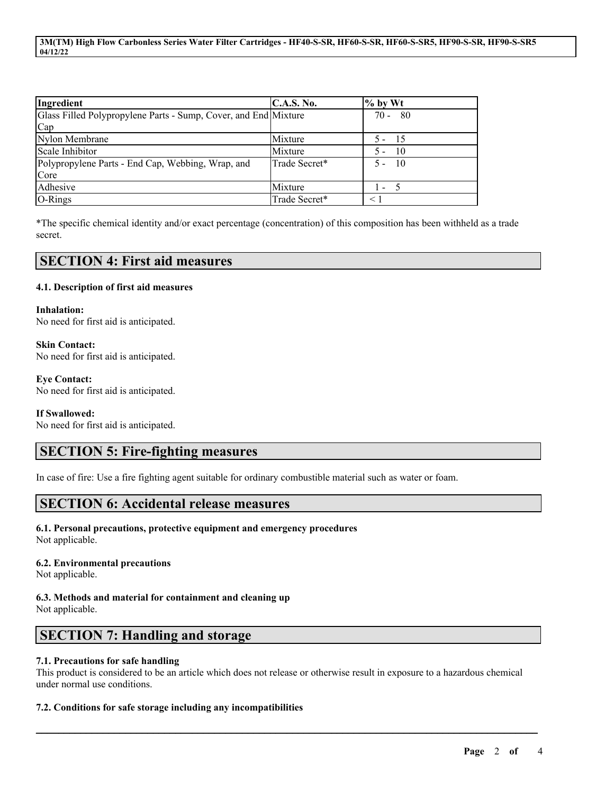**3M(TM) High Flow Carbonless Series Water Filter Cartridges - HF40-S-SR, HF60-S-SR, HF60-S-SR5, HF90-S-SR, HF90-S-SR5 04/12/22**

| Ingredient                                                      | C.A.S. No.    | $\%$ by Wt    |
|-----------------------------------------------------------------|---------------|---------------|
| Glass Filled Polypropylene Parts - Sump, Cover, and End Mixture |               | $70 - 80$     |
| Cap                                                             |               |               |
| Nylon Membrane                                                  | Mixture       | $5 - 15$      |
| Scale Inhibitor                                                 | Mixture       | - 10<br>$5 -$ |
| Polypropylene Parts - End Cap, Webbing, Wrap, and               | Trade Secret* | $5 - 10$      |
| Core                                                            |               |               |
| Adhesive                                                        | Mixture       | $\mathbf{I}$  |
| O-Rings                                                         | Trade Secret* | $\leq 1$      |

\*The specific chemical identity and/or exact percentage (concentration) of this composition has been withheld as a trade secret.

#### **SECTION 4: First aid measures**

#### **4.1. Description of first aid measures**

**Inhalation:** No need for first aid is anticipated.

**Skin Contact:** No need for first aid is anticipated.

**Eye Contact:** No need for first aid is anticipated.

#### **If Swallowed:**

No need for first aid is anticipated.

### **SECTION 5: Fire-fighting measures**

In case of fire: Use a fire fighting agent suitable for ordinary combustible material such as water or foam.

### **SECTION 6: Accidental release measures**

**6.1. Personal precautions, protective equipment and emergency procedures** Not applicable.

**6.2. Environmental precautions** Not applicable.

**6.3. Methods and material for containment and cleaning up** Not applicable.

### **SECTION 7: Handling and storage**

#### **7.1. Precautions for safe handling**

This product is considered to be an article which does not release or otherwise result in exposure to a hazardous chemical under normal use conditions.

 $\mathcal{L}_\mathcal{L} = \mathcal{L}_\mathcal{L} = \mathcal{L}_\mathcal{L} = \mathcal{L}_\mathcal{L} = \mathcal{L}_\mathcal{L} = \mathcal{L}_\mathcal{L} = \mathcal{L}_\mathcal{L} = \mathcal{L}_\mathcal{L} = \mathcal{L}_\mathcal{L} = \mathcal{L}_\mathcal{L} = \mathcal{L}_\mathcal{L} = \mathcal{L}_\mathcal{L} = \mathcal{L}_\mathcal{L} = \mathcal{L}_\mathcal{L} = \mathcal{L}_\mathcal{L} = \mathcal{L}_\mathcal{L} = \mathcal{L}_\mathcal{L}$ 

#### **7.2. Conditions for safe storage including any incompatibilities**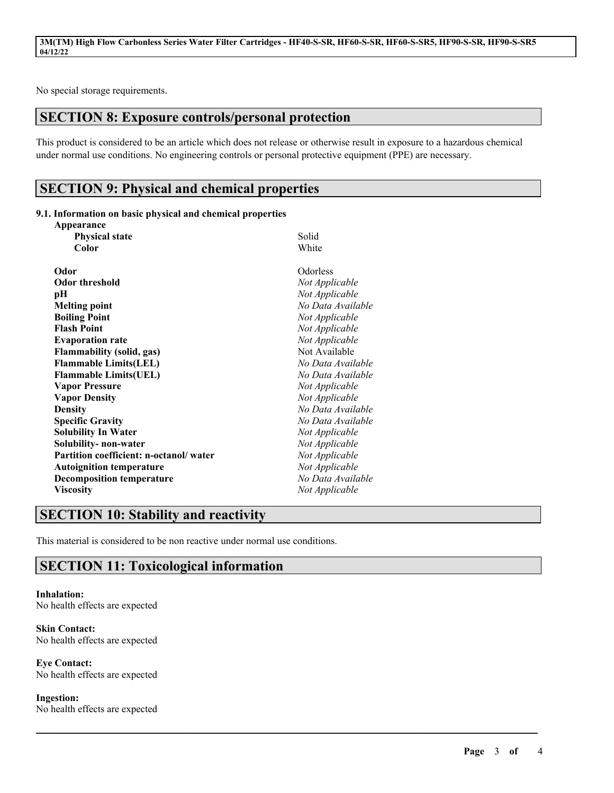No special storage requirements.

# **SECTION 8: Exposure controls/personal protection**

This product is considered to be an article which does not release or otherwise result in exposure to a hazardous chemical under normal use conditions. No engineering controls or personal protective equipment (PPE) are necessary.

 $\mathcal{L}_\mathcal{L} = \mathcal{L}_\mathcal{L} = \mathcal{L}_\mathcal{L} = \mathcal{L}_\mathcal{L} = \mathcal{L}_\mathcal{L} = \mathcal{L}_\mathcal{L} = \mathcal{L}_\mathcal{L} = \mathcal{L}_\mathcal{L} = \mathcal{L}_\mathcal{L} = \mathcal{L}_\mathcal{L} = \mathcal{L}_\mathcal{L} = \mathcal{L}_\mathcal{L} = \mathcal{L}_\mathcal{L} = \mathcal{L}_\mathcal{L} = \mathcal{L}_\mathcal{L} = \mathcal{L}_\mathcal{L} = \mathcal{L}_\mathcal{L}$ 

### **SECTION 9: Physical and chemical properties**

#### **9.1. Information on basic physical and chemical properties Appearance**

| <b>Physical state</b>                  | Solid             |
|----------------------------------------|-------------------|
| Color                                  | White             |
|                                        |                   |
| Odor                                   | Odorless          |
| <b>Odor threshold</b>                  | Not Applicable    |
| рH                                     | Not Applicable    |
| <b>Melting point</b>                   | No Data Available |
| <b>Boiling Point</b>                   | Not Applicable    |
| <b>Flash Point</b>                     | Not Applicable    |
| <b>Evaporation rate</b>                | Not Applicable    |
| <b>Flammability (solid, gas)</b>       | Not Available     |
| <b>Flammable Limits(LEL)</b>           | No Data Available |
| <b>Flammable Limits(UEL)</b>           | No Data Available |
| <b>Vapor Pressure</b>                  | Not Applicable    |
| <b>Vapor Density</b>                   | Not Applicable    |
| <b>Density</b>                         | No Data Available |
| <b>Specific Gravity</b>                | No Data Available |
| <b>Solubility In Water</b>             | Not Applicable    |
| Solubility- non-water                  | Not Applicable    |
| Partition coefficient: n-octanol/water | Not Applicable    |
| <b>Autoignition temperature</b>        | Not Applicable    |
| <b>Decomposition temperature</b>       | No Data Available |
| <b>Viscosity</b>                       | Not Applicable    |
|                                        |                   |

# **SECTION 10: Stability and reactivity**

This material is considered to be non reactive under normal use conditions.

### **SECTION 11: Toxicological information**

**Inhalation:** No health effects are expected

**Skin Contact:** No health effects are expected

**Eye Contact:** No health effects are expected

**Ingestion:**

No health effects are expected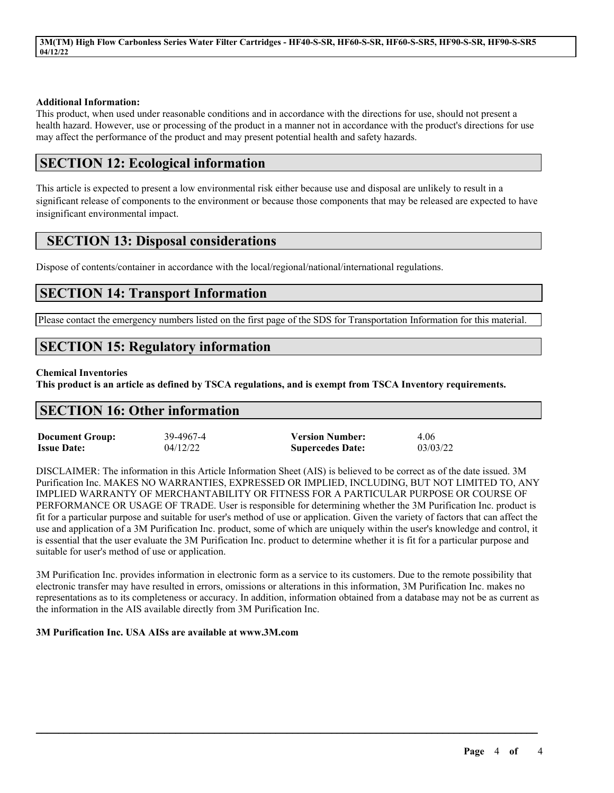**3M(TM) High Flow Carbonless Series Water Filter Cartridges - HF40-S-SR, HF60-S-SR, HF60-S-SR5, HF90-S-SR, HF90-S-SR5 04/12/22**

#### **Additional Information:**

This product, when used under reasonable conditions and in accordance with the directions for use, should not present a health hazard. However, use or processing of the product in a manner not in accordance with the product's directions for use may affect the performance of the product and may present potential health and safety hazards.

### **SECTION 12: Ecological information**

This article is expected to present a low environmental risk either because use and disposal are unlikely to result in a significant release of components to the environment or because those components that may be released are expected to have insignificant environmental impact.

### **SECTION 13: Disposal considerations**

Dispose of contents/container in accordance with the local/regional/national/international regulations.

### **SECTION 14: Transport Information**

Please contact the emergency numbers listed on the first page of the SDS for Transportation Information for this material.

### **SECTION 15: Regulatory information**

#### **Chemical Inventories**

This product is an article as defined by TSCA regulations, and is exempt from TSCA Inventory requirements.

### **SECTION 16: Other information**

| <b>Document Group:</b> | 39-4967-4 | <b>Version Number:</b>  | 4.06     |
|------------------------|-----------|-------------------------|----------|
| <b>Issue Date:</b>     | 04/12/22  | <b>Supercedes Date:</b> | 03/03/22 |

DISCLAIMER: The information in this Article Information Sheet (AIS) is believed to be correct as of the date issued. 3M Purification Inc. MAKES NO WARRANTIES, EXPRESSED OR IMPLIED, INCLUDING, BUT NOT LIMITED TO, ANY IMPLIED WARRANTY OF MERCHANTABILITY OR FITNESS FOR A PARTICULAR PURPOSE OR COURSE OF PERFORMANCE OR USAGE OF TRADE. User is responsible for determining whether the 3M Purification Inc. product is fit for a particular purpose and suitable for user's method of use or application. Given the variety of factors that can affect the use and application of a 3M Purification Inc. product, some of which are uniquely within the user's knowledge and control, it is essential that the user evaluate the 3M Purification Inc. product to determine whether it is fit for a particular purpose and suitable for user's method of use or application.

3M Purification Inc. provides information in electronic form as a service to its customers. Due to the remote possibility that electronic transfer may have resulted in errors, omissions or alterations in this information, 3M Purification Inc. makes no representations as to its completeness or accuracy. In addition, information obtained from a database may not be as current as the information in the AIS available directly from 3M Purification Inc.

 $\mathcal{L}_\mathcal{L} = \mathcal{L}_\mathcal{L} = \mathcal{L}_\mathcal{L} = \mathcal{L}_\mathcal{L} = \mathcal{L}_\mathcal{L} = \mathcal{L}_\mathcal{L} = \mathcal{L}_\mathcal{L} = \mathcal{L}_\mathcal{L} = \mathcal{L}_\mathcal{L} = \mathcal{L}_\mathcal{L} = \mathcal{L}_\mathcal{L} = \mathcal{L}_\mathcal{L} = \mathcal{L}_\mathcal{L} = \mathcal{L}_\mathcal{L} = \mathcal{L}_\mathcal{L} = \mathcal{L}_\mathcal{L} = \mathcal{L}_\mathcal{L}$ 

#### **3M Purification Inc. USA AISs are available at www.3M.com**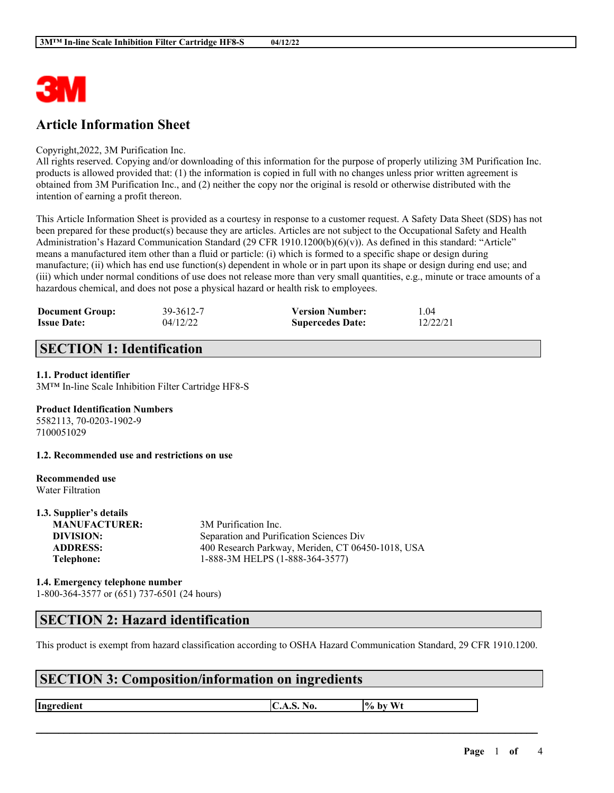

### **Article Information Sheet**

#### Copyright,2022, 3M Purification Inc.

All rights reserved. Copying and/or downloading of this information for the purpose of properly utilizing 3M Purification Inc. products is allowed provided that: (1) the information is copied in full with no changes unless prior written agreement is obtained from 3M Purification Inc., and (2) neither the copy nor the original is resold or otherwise distributed with the intention of earning a profit thereon.

This Article Information Sheet is provided as a courtesy in response to a customer request. A Safety Data Sheet (SDS) has not been prepared for these product(s) because they are articles. Articles are not subject to the Occupational Safety and Health Administration's Hazard Communication Standard (29 CFR 1910.1200(b)(6)(v)). As defined in this standard: "Article" means a manufactured item other than a fluid or particle: (i) which is formed to a specific shape or design during manufacture; (ii) which has end use function(s) dependent in whole or in part upon its shape or design during end use; and (iii) which under normal conditions of use does not release more than very small quantities, e.g., minute or trace amounts of a hazardous chemical, and does not pose a physical hazard or health risk to employees.

| <b>Document Group:</b> | 39-3612-7 | <b>Version Number:</b>  | 1.04     |
|------------------------|-----------|-------------------------|----------|
| <b>Issue Date:</b>     | 04/12/22  | <b>Supercedes Date:</b> | 12/22/21 |

### **SECTION 1: Identification**

#### **1.1. Product identifier**

3M™ In-line Scale Inhibition Filter Cartridge HF8-S

#### **Product Identification Numbers**

5582113, 70-0203-1902-9 7100051029

**1.2. Recommended use and restrictions on use**

#### **Recommended use** Water Filtration

**1.3. Supplier's details**

| 1.3. Supplier's details |                                                   |
|-------------------------|---------------------------------------------------|
| <b>MANUFACTURER:</b>    | 3M Purification Inc.                              |
| DIVISION:               | Separation and Purification Sciences Div          |
| <b>ADDRESS:</b>         | 400 Research Parkway, Meriden, CT 06450-1018, USA |
| Telephone:              | 1-888-3M HELPS (1-888-364-3577)                   |
|                         |                                                   |

#### **1.4. Emergency telephone number** 1-800-364-3577 or (651) 737-6501 (24 hours)

#### **SECTION 2: Hazard identification**

This product is exempt from hazard classification according to OSHA Hazard Communication Standard, 29 CFR 1910.1200.

 $\mathcal{L}_\mathcal{L} = \mathcal{L}_\mathcal{L} = \mathcal{L}_\mathcal{L} = \mathcal{L}_\mathcal{L} = \mathcal{L}_\mathcal{L} = \mathcal{L}_\mathcal{L} = \mathcal{L}_\mathcal{L} = \mathcal{L}_\mathcal{L} = \mathcal{L}_\mathcal{L} = \mathcal{L}_\mathcal{L} = \mathcal{L}_\mathcal{L} = \mathcal{L}_\mathcal{L} = \mathcal{L}_\mathcal{L} = \mathcal{L}_\mathcal{L} = \mathcal{L}_\mathcal{L} = \mathcal{L}_\mathcal{L} = \mathcal{L}_\mathcal{L}$ 

# **SECTION 3: Composition/information on ingredients**

**Ingredient C.A.S.** No.  $\begin{bmatrix} \phi & \phi \end{bmatrix}$  by Wt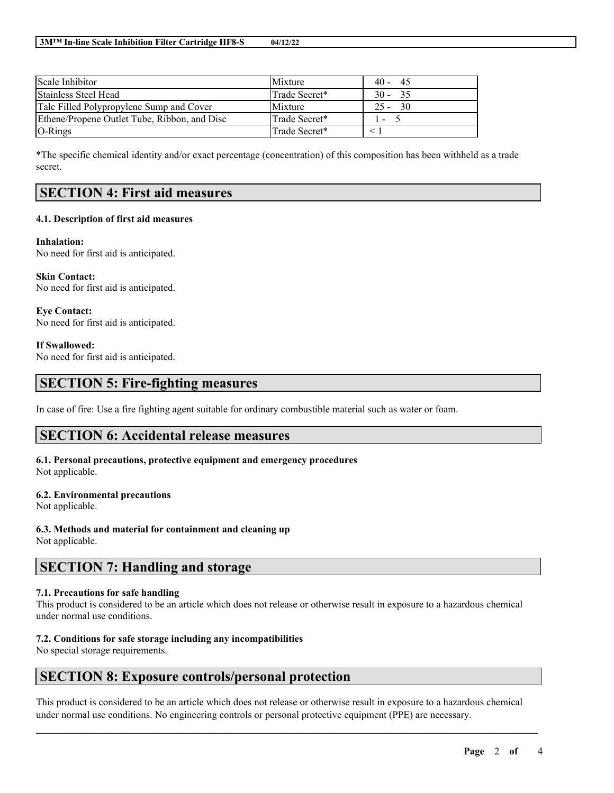| Scale Inhibitor                              | Mixture       | $40 -$<br>- 45           |
|----------------------------------------------|---------------|--------------------------|
| Stainless Steel Head                         | Trade Secret* | $30 - 35$                |
| Talc Filled Polypropylene Sump and Cover     | Mixture       | -30<br>$25 -$            |
| Ethene/Propene Outlet Tube, Ribbon, and Disc | Trade Secret* | $\overline{\phantom{a}}$ |
| $O-Rings$                                    | Trade Secret* |                          |

\*The specific chemical identity and/or exact percentage (concentration) of this composition has been withheld as a trade secret.

### **SECTION 4: First aid measures**

#### **4.1. Description of first aid measures**

**Inhalation:** No need for first aid is anticipated.

**Skin Contact:** No need for first aid is anticipated.

**Eye Contact:** No need for first aid is anticipated.

**If Swallowed:** No need for first aid is anticipated.

### **SECTION 5: Fire-fighting measures**

In case of fire: Use a fire fighting agent suitable for ordinary combustible material such as water or foam.

### **SECTION 6: Accidental release measures**

# **6.1. Personal precautions, protective equipment and emergency procedures**

Not applicable.

#### **6.2. Environmental precautions**

Not applicable.

**6.3. Methods and material for containment and cleaning up** Not applicable.

### **SECTION 7: Handling and storage**

#### **7.1. Precautions for safe handling**

This product is considered to be an article which does not release or otherwise result in exposure to a hazardous chemical under normal use conditions.

#### **7.2. Conditions for safe storage including any incompatibilities**

No special storage requirements.

### **SECTION 8: Exposure controls/personal protection**

This product is considered to be an article which does not release or otherwise result in exposure to a hazardous chemical under normal use conditions. No engineering controls or personal protective equipment (PPE) are necessary.

 $\mathcal{L}_\mathcal{L} = \mathcal{L}_\mathcal{L} = \mathcal{L}_\mathcal{L} = \mathcal{L}_\mathcal{L} = \mathcal{L}_\mathcal{L} = \mathcal{L}_\mathcal{L} = \mathcal{L}_\mathcal{L} = \mathcal{L}_\mathcal{L} = \mathcal{L}_\mathcal{L} = \mathcal{L}_\mathcal{L} = \mathcal{L}_\mathcal{L} = \mathcal{L}_\mathcal{L} = \mathcal{L}_\mathcal{L} = \mathcal{L}_\mathcal{L} = \mathcal{L}_\mathcal{L} = \mathcal{L}_\mathcal{L} = \mathcal{L}_\mathcal{L}$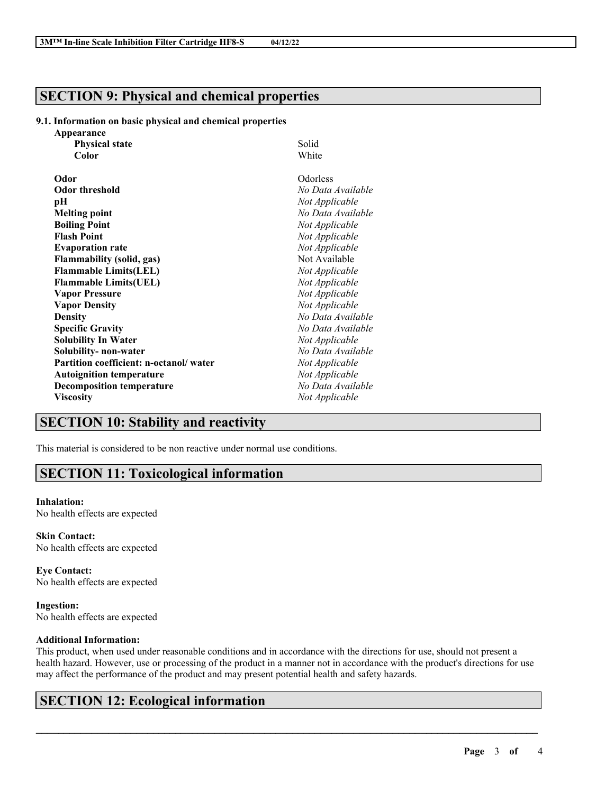### **SECTION 9: Physical and chemical properties**

#### **9.1. Information on basic physical and chemical properties**

| Appearance                             |                   |
|----------------------------------------|-------------------|
| <b>Physical state</b>                  | Solid             |
| Color                                  | White             |
| Odor                                   | Odorless          |
| <b>Odor threshold</b>                  | No Data Available |
| рH                                     | Not Applicable    |
| <b>Melting point</b>                   | No Data Available |
| <b>Boiling Point</b>                   | Not Applicable    |
| <b>Flash Point</b>                     | Not Applicable    |
| <b>Evaporation rate</b>                | Not Applicable    |
| <b>Flammability (solid, gas)</b>       | Not Available     |
| <b>Flammable Limits(LEL)</b>           | Not Applicable    |
| <b>Flammable Limits(UEL)</b>           | Not Applicable    |
| <b>Vapor Pressure</b>                  | Not Applicable    |
| <b>Vapor Density</b>                   | Not Applicable    |
| <b>Density</b>                         | No Data Available |
| <b>Specific Gravity</b>                | No Data Available |
| <b>Solubility In Water</b>             | Not Applicable    |
| Solubility- non-water                  | No Data Available |
| Partition coefficient: n-octanol/water | Not Applicable    |
| <b>Autoignition temperature</b>        | Not Applicable    |
| <b>Decomposition temperature</b>       | No Data Available |
| <b>Viscosity</b>                       | Not Applicable    |

### **SECTION 10: Stability and reactivity**

This material is considered to be non reactive under normal use conditions.

### **SECTION 11: Toxicological information**

#### **Inhalation:**

No health effects are expected

**Skin Contact:** No health effects are expected

**Eye Contact:** No health effects are expected

**Ingestion:** No health effects are expected

#### **Additional Information:**

This product, when used under reasonable conditions and in accordance with the directions for use, should not present a health hazard. However, use or processing of the product in a manner not in accordance with the product's directions for use may affect the performance of the product and may present potential health and safety hazards.

 $\mathcal{L}_\mathcal{L} = \mathcal{L}_\mathcal{L} = \mathcal{L}_\mathcal{L} = \mathcal{L}_\mathcal{L} = \mathcal{L}_\mathcal{L} = \mathcal{L}_\mathcal{L} = \mathcal{L}_\mathcal{L} = \mathcal{L}_\mathcal{L} = \mathcal{L}_\mathcal{L} = \mathcal{L}_\mathcal{L} = \mathcal{L}_\mathcal{L} = \mathcal{L}_\mathcal{L} = \mathcal{L}_\mathcal{L} = \mathcal{L}_\mathcal{L} = \mathcal{L}_\mathcal{L} = \mathcal{L}_\mathcal{L} = \mathcal{L}_\mathcal{L}$ 

# **SECTION 12: Ecological information**